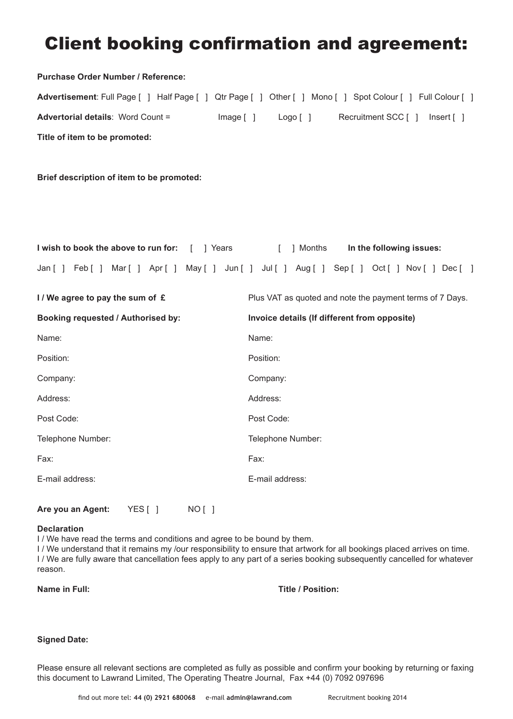# **Client booking confirmation and agreement:**

| Purchase Order Number / Reference:                    |                                                                                                            |
|-------------------------------------------------------|------------------------------------------------------------------------------------------------------------|
|                                                       | Advertisement: Full Page [ ] Half Page [ ] Qtr Page [ ] Other [ ] Mono [ ] Spot Colour [ ] Full Colour [ ] |
| <b>Advertorial details: Word Count =</b><br>Image [ ] | Logo [ ]<br>Recruitment SCC [ ]<br>Insert [ ]                                                              |
| Title of item to be promoted:                         |                                                                                                            |
|                                                       |                                                                                                            |
| Brief description of item to be promoted:             |                                                                                                            |
|                                                       |                                                                                                            |
|                                                       |                                                                                                            |
| I wish to book the above to run for: [ ] Years        | [ ] Months<br>In the following issues:                                                                     |
|                                                       | Jan [ ] Feb [ ] Mar [ ] Apr [ ] May [ ] Jun [ ] Jul [ ] Aug [ ] Sep [ ] Oct [ ] Nov [ ] Dec [ ]            |
| I/We agree to pay the sum of £                        | Plus VAT as quoted and note the payment terms of 7 Days.                                                   |
| Booking requested / Authorised by:                    | Invoice details (If different from opposite)                                                               |
| Name:                                                 | Name:                                                                                                      |
| Position:                                             | Position:                                                                                                  |
| Company:                                              | Company:                                                                                                   |
| Address:                                              | Address:                                                                                                   |
| Post Code:                                            | Post Code:                                                                                                 |
| Telephone Number:                                     | Telephone Number:                                                                                          |
| Fax:                                                  | Fax:                                                                                                       |
| E-mail address:                                       | E-mail address:                                                                                            |
|                                                       |                                                                                                            |

### **Declaration**

I / We have read the terms and conditions and agree to be bound by them.

I / We understand that it remains my /our responsibility to ensure that artwork for all bookings placed arrives on time. I / We are fully aware that cancellation fees apply to any part of a series booking subsequently cancelled for whatever reason.

**Name in Full: Title / Position:**

### **Signed Date:**

Please ensure all relevant sections are completed as fully as possible and confirm your booking by returning or faxing this document to Lawrand Limited, The Operating Theatre Journal, Fax +44 (0) 7092 097696